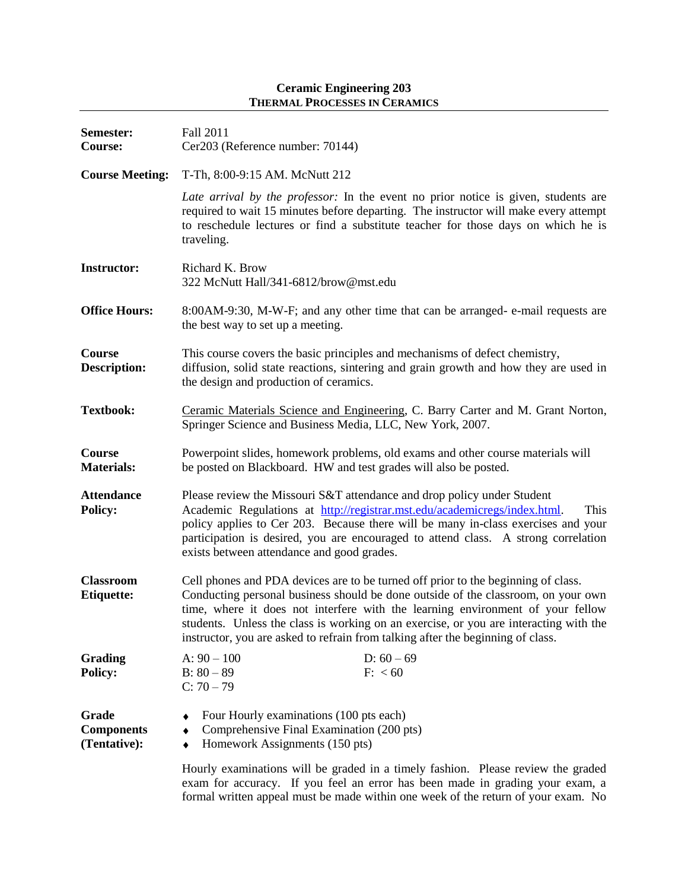## **Ceramic Engineering 203 THERMAL PROCESSES IN CERAMICS**

| Semester:<br>Course:                       | Fall 2011<br>Cer203 (Reference number: 70144)                                                                                                                                                                                                                                                                                                                                                                                        |
|--------------------------------------------|--------------------------------------------------------------------------------------------------------------------------------------------------------------------------------------------------------------------------------------------------------------------------------------------------------------------------------------------------------------------------------------------------------------------------------------|
| <b>Course Meeting:</b>                     | T-Th, 8:00-9:15 AM. McNutt 212                                                                                                                                                                                                                                                                                                                                                                                                       |
|                                            | Late arrival by the professor: In the event no prior notice is given, students are<br>required to wait 15 minutes before departing. The instructor will make every attempt<br>to reschedule lectures or find a substitute teacher for those days on which he is<br>traveling.                                                                                                                                                        |
| <b>Instructor:</b>                         | Richard K. Brow<br>322 McNutt Hall/341-6812/brow@mst.edu                                                                                                                                                                                                                                                                                                                                                                             |
| <b>Office Hours:</b>                       | 8:00AM-9:30, M-W-F; and any other time that can be arranged-e-mail requests are<br>the best way to set up a meeting.                                                                                                                                                                                                                                                                                                                 |
| Course<br><b>Description:</b>              | This course covers the basic principles and mechanisms of defect chemistry,<br>diffusion, solid state reactions, sintering and grain growth and how they are used in<br>the design and production of ceramics.                                                                                                                                                                                                                       |
| <b>Textbook:</b>                           | Ceramic Materials Science and Engineering, C. Barry Carter and M. Grant Norton,<br>Springer Science and Business Media, LLC, New York, 2007.                                                                                                                                                                                                                                                                                         |
| Course<br><b>Materials:</b>                | Powerpoint slides, homework problems, old exams and other course materials will<br>be posted on Blackboard. HW and test grades will also be posted.                                                                                                                                                                                                                                                                                  |
| <b>Attendance</b><br><b>Policy:</b>        | Please review the Missouri S&T attendance and drop policy under Student<br>Academic Regulations at http://registrar.mst.edu/academicregs/index.html.<br>This<br>policy applies to Cer 203. Because there will be many in-class exercises and your<br>participation is desired, you are encouraged to attend class. A strong correlation<br>exists between attendance and good grades.                                                |
| <b>Classroom</b><br><b>Etiquette:</b>      | Cell phones and PDA devices are to be turned off prior to the beginning of class.<br>Conducting personal business should be done outside of the classroom, on your own<br>time, where it does not interfere with the learning environment of your fellow<br>students. Unless the class is working on an exercise, or you are interacting with the<br>instructor, you are asked to refrain from talking after the beginning of class. |
| Grading<br><b>Policy:</b>                  | A: $90 - 100$<br>D: $60 - 69$<br>$B: 80 - 89$<br>F: < 60<br>$C: 70 - 79$                                                                                                                                                                                                                                                                                                                                                             |
| Grade<br><b>Components</b><br>(Tentative): | Four Hourly examinations (100 pts each)<br>٠<br>Comprehensive Final Examination (200 pts)<br>٠<br>Homework Assignments (150 pts)<br>٠                                                                                                                                                                                                                                                                                                |
|                                            | Hourly examinations will be graded in a timely festion. Please review the graded                                                                                                                                                                                                                                                                                                                                                     |

Hourly examinations will be graded in a timely fashion. Please review the graded exam for accuracy. If you feel an error has been made in grading your exam, a formal written appeal must be made within one week of the return of your exam. No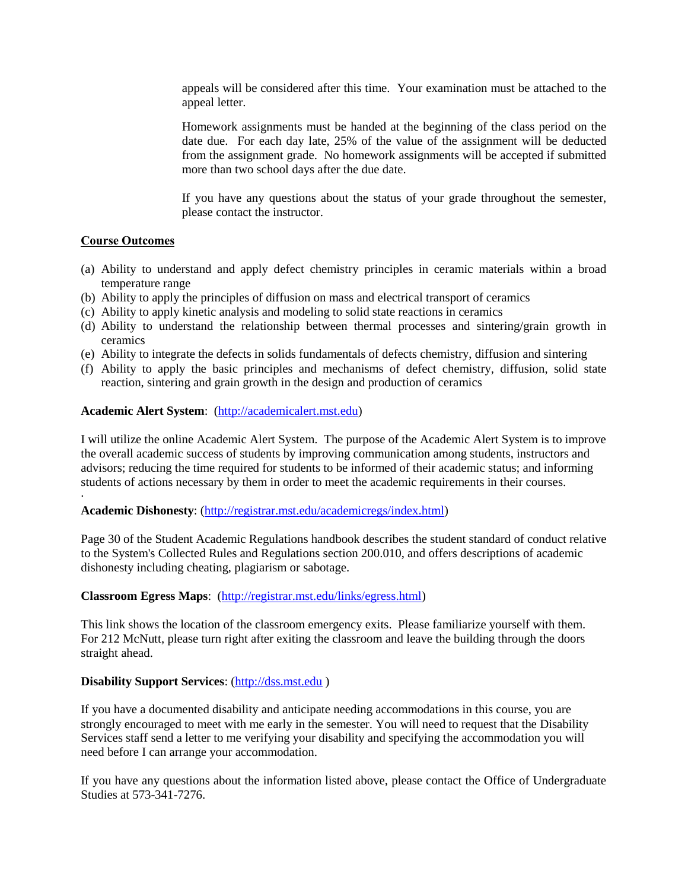appeals will be considered after this time. Your examination must be attached to the appeal letter.

Homework assignments must be handed at the beginning of the class period on the date due. For each day late, 25% of the value of the assignment will be deducted from the assignment grade. No homework assignments will be accepted if submitted more than two school days after the due date.

If you have any questions about the status of your grade throughout the semester, please contact the instructor.

## **Course Outcomes**

·

- (a) Ability to understand and apply defect chemistry principles in ceramic materials within a broad temperature range
- (b) Ability to apply the principles of diffusion on mass and electrical transport of ceramics
- (c) Ability to apply kinetic analysis and modeling to solid state reactions in ceramics
- (d) Ability to understand the relationship between thermal processes and sintering/grain growth in ceramics
- (e) Ability to integrate the defects in solids fundamentals of defects chemistry, diffusion and sintering
- (f) Ability to apply the basic principles and mechanisms of defect chemistry, diffusion, solid state reaction, sintering and grain growth in the design and production of ceramics

### **Academic Alert System**: [\(http://academicalert.mst.edu\)](http://academicalert.mst.edu/)

I will utilize the online Academic Alert System. The purpose of the Academic Alert System is to improve the overall academic success of students by improving communication among students, instructors and advisors; reducing the time required for students to be informed of their academic status; and informing students of actions necessary by them in order to meet the academic requirements in their courses.

#### **Academic Dishonesty**: [\(http://registrar.mst.edu/academicregs/index.html\)](http://registrar.mst.edu/academicregs/index.html)

Page 30 of the Student Academic Regulations handbook describes the student standard of conduct relative to the System's Collected Rules and Regulations section 200.010, and offers descriptions of academic dishonesty including cheating, plagiarism or sabotage.

#### **Classroom Egress Maps**: [\(http://registrar.mst.edu/links/egress.html\)](http://registrar.mst.edu/links/egress.html)

This link shows the location of the classroom emergency exits. Please familiarize yourself with them. For 212 McNutt, please turn right after exiting the classroom and leave the building through the doors straight ahead.

#### **Disability Support Services**: [\(http://dss.mst.edu](http://dss.mst.edu/) )

If you have a documented disability and anticipate needing accommodations in this course, you are strongly encouraged to meet with me early in the semester. You will need to request that the Disability Services staff send a letter to me verifying your disability and specifying the accommodation you will need before I can arrange your accommodation.

If you have any questions about the information listed above, please contact the Office of Undergraduate Studies at 573-341-7276.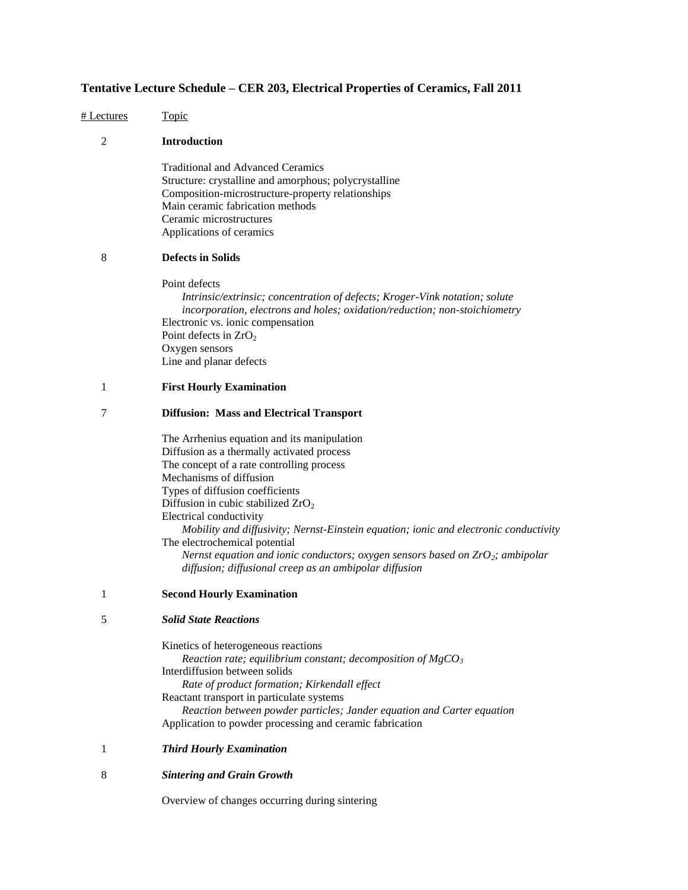# **Tentative Lecture Schedule – CER 203, Electrical Properties of Ceramics, Fall 2011**

| # Lectures     | <u>Topic</u>                                                                                                                                                                                                                                                                                                                                                                                                                                                                                                                                     |
|----------------|--------------------------------------------------------------------------------------------------------------------------------------------------------------------------------------------------------------------------------------------------------------------------------------------------------------------------------------------------------------------------------------------------------------------------------------------------------------------------------------------------------------------------------------------------|
| $\overline{c}$ | <b>Introduction</b>                                                                                                                                                                                                                                                                                                                                                                                                                                                                                                                              |
|                | <b>Traditional and Advanced Ceramics</b><br>Structure: crystalline and amorphous; polycrystalline<br>Composition-microstructure-property relationships<br>Main ceramic fabrication methods                                                                                                                                                                                                                                                                                                                                                       |
|                | Ceramic microstructures<br>Applications of ceramics                                                                                                                                                                                                                                                                                                                                                                                                                                                                                              |
| 8              | <b>Defects in Solids</b>                                                                                                                                                                                                                                                                                                                                                                                                                                                                                                                         |
|                | Point defects<br>Intrinsic/extrinsic; concentration of defects; Kroger-Vink notation; solute<br>incorporation, electrons and holes; oxidation/reduction; non-stoichiometry<br>Electronic vs. ionic compensation<br>Point defects in $ZrO2$<br>Oxygen sensors<br>Line and planar defects                                                                                                                                                                                                                                                          |
| 1              | <b>First Hourly Examination</b>                                                                                                                                                                                                                                                                                                                                                                                                                                                                                                                  |
| 7              | <b>Diffusion: Mass and Electrical Transport</b>                                                                                                                                                                                                                                                                                                                                                                                                                                                                                                  |
|                | The Arrhenius equation and its manipulation<br>Diffusion as a thermally activated process<br>The concept of a rate controlling process<br>Mechanisms of diffusion<br>Types of diffusion coefficients<br>Diffusion in cubic stabilized $ZrO2$<br>Electrical conductivity<br>Mobility and diffusivity; Nernst-Einstein equation; ionic and electronic conductivity<br>The electrochemical potential<br>Nernst equation and ionic conductors; oxygen sensors based on $ZrO_2$ ; ambipolar<br>diffusion; diffusional creep as an ambipolar diffusion |
| 1              | <b>Second Hourly Examination</b>                                                                                                                                                                                                                                                                                                                                                                                                                                                                                                                 |
| 5              | <b>Solid State Reactions</b>                                                                                                                                                                                                                                                                                                                                                                                                                                                                                                                     |
|                | Kinetics of heterogeneous reactions<br>Reaction rate; equilibrium constant; decomposition of $MgCO3$<br>Interdiffusion between solids<br>Rate of product formation; Kirkendall effect<br>Reactant transport in particulate systems<br>Reaction between powder particles; Jander equation and Carter equation<br>Application to powder processing and ceramic fabrication                                                                                                                                                                         |
| 1              | <b>Third Hourly Examination</b>                                                                                                                                                                                                                                                                                                                                                                                                                                                                                                                  |
| 8              | <b>Sintering and Grain Growth</b>                                                                                                                                                                                                                                                                                                                                                                                                                                                                                                                |
|                | Overview of changes occurring during sintering                                                                                                                                                                                                                                                                                                                                                                                                                                                                                                   |